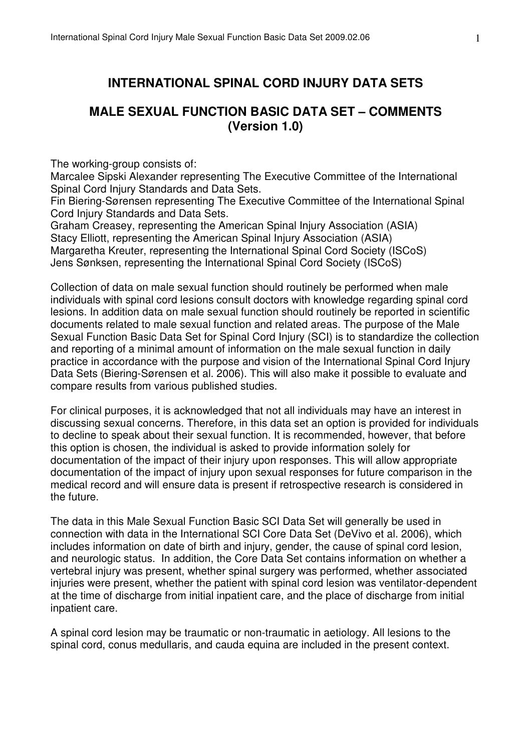# **INTERNATIONAL SPINAL CORD INJURY DATA SETS**

# **MALE SEXUAL FUNCTION BASIC DATA SET – COMMENTS (Version 1.0)**

The working-group consists of:

Marcalee Sipski Alexander representing The Executive Committee of the International Spinal Cord Injury Standards and Data Sets.

Fin Biering-Sørensen representing The Executive Committee of the International Spinal Cord Injury Standards and Data Sets.

Graham Creasey, representing the American Spinal Injury Association (ASIA) Stacy Elliott, representing the American Spinal Injury Association (ASIA) Margaretha Kreuter, representing the International Spinal Cord Society (ISCoS) Jens Sønksen, representing the International Spinal Cord Society (ISCoS)

Collection of data on male sexual function should routinely be performed when male individuals with spinal cord lesions consult doctors with knowledge regarding spinal cord lesions. In addition data on male sexual function should routinely be reported in scientific documents related to male sexual function and related areas. The purpose of the Male Sexual Function Basic Data Set for Spinal Cord Injury (SCI) is to standardize the collection and reporting of a minimal amount of information on the male sexual function in daily practice in accordance with the purpose and vision of the International Spinal Cord Injury Data Sets (Biering-Sørensen et al. 2006). This will also make it possible to evaluate and compare results from various published studies.

For clinical purposes, it is acknowledged that not all individuals may have an interest in discussing sexual concerns. Therefore, in this data set an option is provided for individuals to decline to speak about their sexual function. It is recommended, however, that before this option is chosen, the individual is asked to provide information solely for documentation of the impact of their injury upon responses. This will allow appropriate documentation of the impact of injury upon sexual responses for future comparison in the medical record and will ensure data is present if retrospective research is considered in the future.

The data in this Male Sexual Function Basic SCI Data Set will generally be used in connection with data in the International SCI Core Data Set (DeVivo et al. 2006), which includes information on date of birth and injury, gender, the cause of spinal cord lesion, and neurologic status. In addition, the Core Data Set contains information on whether a vertebral injury was present, whether spinal surgery was performed, whether associated injuries were present, whether the patient with spinal cord lesion was ventilator-dependent at the time of discharge from initial inpatient care, and the place of discharge from initial inpatient care.

A spinal cord lesion may be traumatic or non-traumatic in aetiology. All lesions to the spinal cord, conus medullaris, and cauda equina are included in the present context.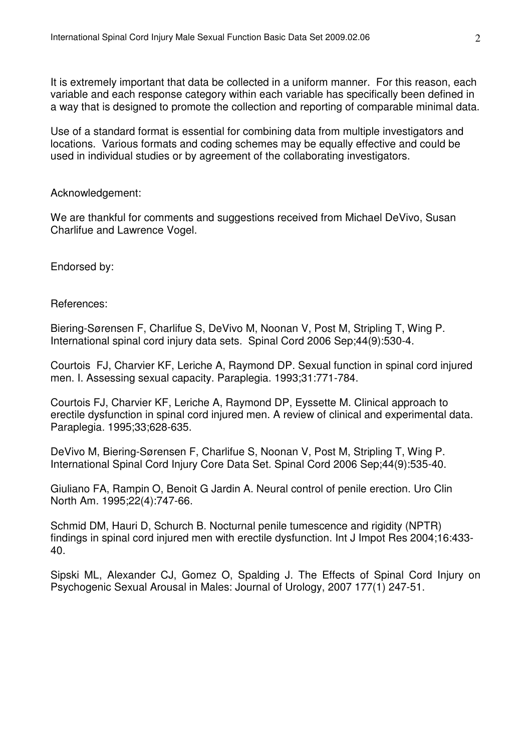It is extremely important that data be collected in a uniform manner. For this reason, each variable and each response category within each variable has specifically been defined in a way that is designed to promote the collection and reporting of comparable minimal data.

Use of a standard format is essential for combining data from multiple investigators and locations. Various formats and coding schemes may be equally effective and could be used in individual studies or by agreement of the collaborating investigators.

Acknowledgement:

We are thankful for comments and suggestions received from Michael DeVivo, Susan Charlifue and Lawrence Vogel.

Endorsed by:

References:

Biering-Sørensen F, Charlifue S, DeVivo M, Noonan V, Post M, Stripling T, Wing P. International spinal cord injury data sets. Spinal Cord 2006 Sep;44(9):530-4.

Courtois FJ, Charvier KF, Leriche A, Raymond DP. Sexual function in spinal cord injured men. I. Assessing sexual capacity. Paraplegia. 1993;31:771-784.

Courtois FJ, Charvier KF, Leriche A, Raymond DP, Eyssette M. Clinical approach to erectile dysfunction in spinal cord injured men. A review of clinical and experimental data. Paraplegia. 1995;33;628-635.

DeVivo M, Biering-Sørensen F, Charlifue S, Noonan V, Post M, Stripling T, Wing P. International Spinal Cord Injury Core Data Set. Spinal Cord 2006 Sep;44(9):535-40.

Giuliano FA, Rampin O, Benoit G Jardin A. Neural control of penile erection. Uro Clin North Am. 1995;22(4):747-66.

Schmid DM, Hauri D, Schurch B. Nocturnal penile tumescence and rigidity (NPTR) findings in spinal cord injured men with erectile dysfunction. Int J Impot Res 2004;16:433- 40.

Sipski ML, Alexander CJ, Gomez O, Spalding J. The Effects of Spinal Cord Injury on Psychogenic Sexual Arousal in Males: Journal of Urology, 2007 177(1) 247-51.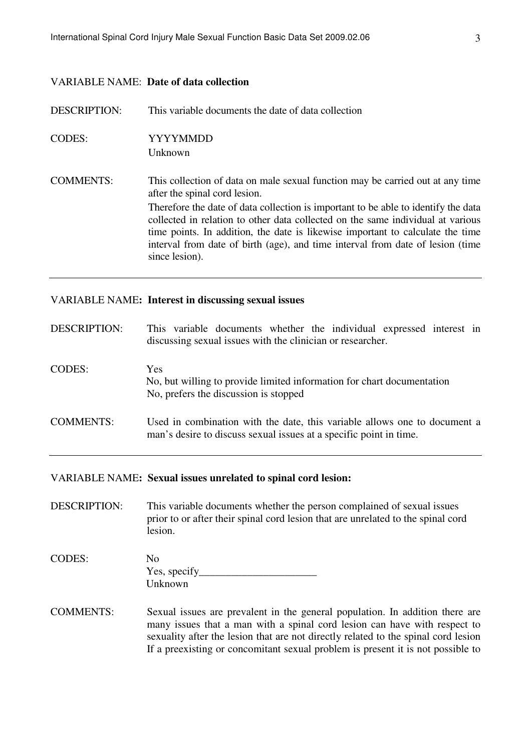#### VARIABLE NAME: **Date of data collection**

| <b>DESCRIPTION:</b> | This variable documents the date of data collection                                                                                                                                                                                                                                                                                                                                                                                                                            |
|---------------------|--------------------------------------------------------------------------------------------------------------------------------------------------------------------------------------------------------------------------------------------------------------------------------------------------------------------------------------------------------------------------------------------------------------------------------------------------------------------------------|
| <b>CODES:</b>       | YYYYMMDD<br>Unknown                                                                                                                                                                                                                                                                                                                                                                                                                                                            |
| <b>COMMENTS:</b>    | This collection of data on male sexual function may be carried out at any time<br>after the spinal cord lesion.<br>Therefore the date of data collection is important to be able to identify the data<br>collected in relation to other data collected on the same individual at various<br>time points. In addition, the date is likewise important to calculate the time<br>interval from date of birth (age), and time interval from date of lesion (time<br>since lesion). |

# VARIABLE NAME**: Interest in discussing sexual issues**

| <b>DESCRIPTION:</b> | This variable documents whether the individual expressed interest in<br>discussing sexual issues with the clinician or researcher.              |
|---------------------|-------------------------------------------------------------------------------------------------------------------------------------------------|
| CODES:              | Yes<br>No, but willing to provide limited information for chart documentation<br>No, prefers the discussion is stopped                          |
| <b>COMMENTS:</b>    | Used in combination with the date, this variable allows one to document a<br>man's desire to discuss sexual issues at a specific point in time. |

# VARIABLE NAME**: Sexual issues unrelated to spinal cord lesion:**

DESCRIPTION: This variable documents whether the person complained of sexual issues prior to or after their spinal cord lesion that are unrelated to the spinal cord lesion.

| <b>CODES:</b> | No           |
|---------------|--------------|
|               | Yes, specify |
|               | Unknown      |

COMMENTS: Sexual issues are prevalent in the general population. In addition there are many issues that a man with a spinal cord lesion can have with respect to sexuality after the lesion that are not directly related to the spinal cord lesion If a preexisting or concomitant sexual problem is present it is not possible to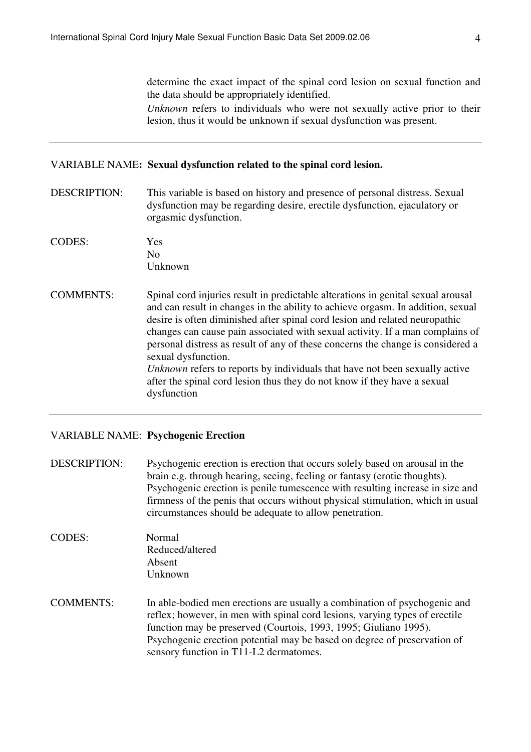*Unknown* refers to individuals who were not sexually active prior to their lesion, thus it would be unknown if sexual dysfunction was present.

#### VARIABLE NAME**: Sexual dysfunction related to the spinal cord lesion.**

| <b>DESCRIPTION:</b> | This variable is based on history and presence of personal distress. Sexual<br>dysfunction may be regarding desire, erectile dysfunction, ejaculatory or<br>orgasmic dysfunction.                                                                                                                                                                                                                                                                                                                                                                                                                                       |
|---------------------|-------------------------------------------------------------------------------------------------------------------------------------------------------------------------------------------------------------------------------------------------------------------------------------------------------------------------------------------------------------------------------------------------------------------------------------------------------------------------------------------------------------------------------------------------------------------------------------------------------------------------|
| <b>CODES:</b>       | <b>Yes</b><br>N <sub>0</sub><br>Unknown                                                                                                                                                                                                                                                                                                                                                                                                                                                                                                                                                                                 |
| <b>COMMENTS:</b>    | Spinal cord injuries result in predictable alterations in genital sexual arousal<br>and can result in changes in the ability to achieve orgasm. In addition, sexual<br>desire is often diminished after spinal cord lesion and related neuropathic<br>changes can cause pain associated with sexual activity. If a man complains of<br>personal distress as result of any of these concerns the change is considered a<br>sexual dysfunction.<br>Unknown refers to reports by individuals that have not been sexually active<br>after the spinal cord lesion thus they do not know if they have a sexual<br>dysfunction |

### VARIABLE NAME: **Psychogenic Erection**

DESCRIPTION: Psychogenic erection is erection that occurs solely based on arousal in the brain e.g. through hearing, seeing, feeling or fantasy (erotic thoughts). Psychogenic erection is penile tumescence with resulting increase in size and firmness of the penis that occurs without physical stimulation, which in usual circumstances should be adequate to allow penetration.

CODES: Normal Reduced/altered Absent Unknown

COMMENTS: In able-bodied men erections are usually a combination of psychogenic and reflex; however, in men with spinal cord lesions, varying types of erectile function may be preserved (Courtois, 1993, 1995; Giuliano 1995). Psychogenic erection potential may be based on degree of preservation of sensory function in T11-L2 dermatomes.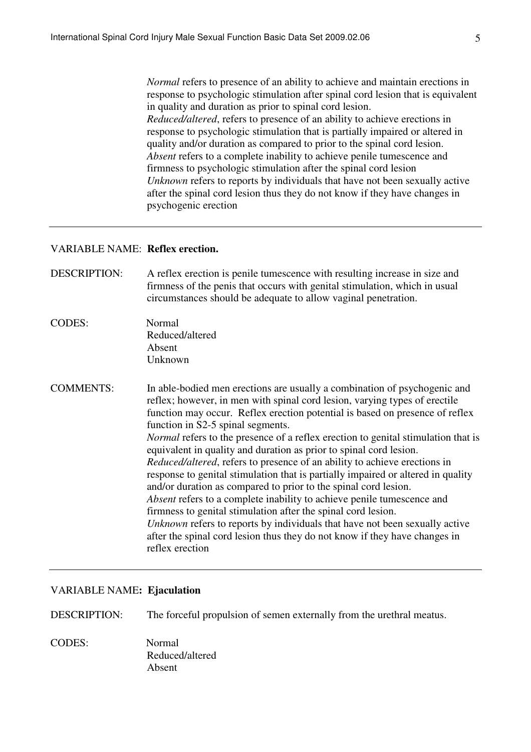*Normal* refers to presence of an ability to achieve and maintain erections in response to psychologic stimulation after spinal cord lesion that is equivalent in quality and duration as prior to spinal cord lesion. *Reduced/altered*, refers to presence of an ability to achieve erections in response to psychologic stimulation that is partially impaired or altered in quality and/or duration as compared to prior to the spinal cord lesion. *Absent* refers to a complete inability to achieve penile tumescence and firmness to psychologic stimulation after the spinal cord lesion *Unknown* refers to reports by individuals that have not been sexually active after the spinal cord lesion thus they do not know if they have changes in psychogenic erection

## VARIABLE NAME: **Reflex erection.**

- DESCRIPTION: A reflex erection is penile tumescence with resulting increase in size and firmness of the penis that occurs with genital stimulation, which in usual circumstances should be adequate to allow vaginal penetration.
- CODES: Normal Reduced/altered Absent Unknown

COMMENTS: In able-bodied men erections are usually a combination of psychogenic and reflex; however, in men with spinal cord lesion, varying types of erectile function may occur. Reflex erection potential is based on presence of reflex function in S2-5 spinal segments. *Normal* refers to the presence of a reflex erection to genital stimulation that is equivalent in quality and duration as prior to spinal cord lesion. *Reduced/altered*, refers to presence of an ability to achieve erections in response to genital stimulation that is partially impaired or altered in quality and/or duration as compared to prior to the spinal cord lesion. *Absent* refers to a complete inability to achieve penile tumescence and firmness to genital stimulation after the spinal cord lesion. *Unknown* refers to reports by individuals that have not been sexually active after the spinal cord lesion thus they do not know if they have changes in reflex erection

### VARIABLE NAME**: Ejaculation**

DESCRIPTION: The forceful propulsion of semen externally from the urethral meatus.

CODES: Normal Reduced/altered Absent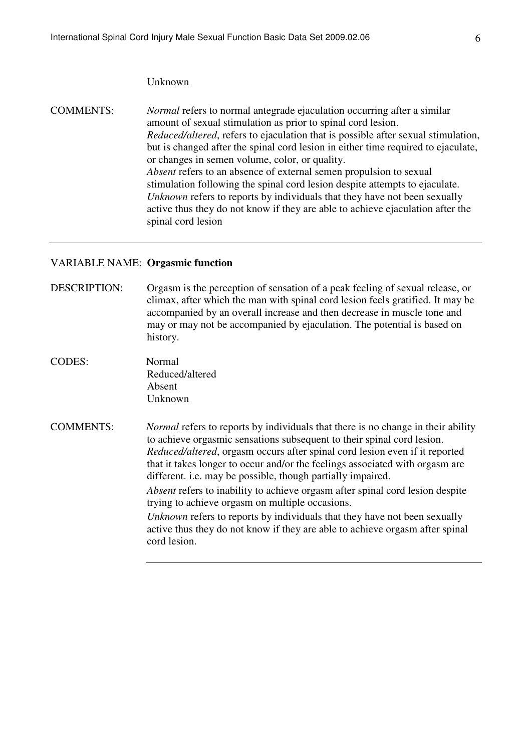#### Unknown

COMMENTS: *Normal* refers to normal antegrade ejaculation occurring after a similar amount of sexual stimulation as prior to spinal cord lesion. *Reduced/altered*, refers to ejaculation that is possible after sexual stimulation, but is changed after the spinal cord lesion in either time required to ejaculate, or changes in semen volume, color, or quality. *Absent* refers to an absence of external semen propulsion to sexual stimulation following the spinal cord lesion despite attempts to ejaculate. *Unknown* refers to reports by individuals that they have not been sexually active thus they do not know if they are able to achieve ejaculation after the spinal cord lesion

#### VARIABLE NAME: **Orgasmic function**

DESCRIPTION: Orgasm is the perception of sensation of a peak feeling of sexual release, or climax, after which the man with spinal cord lesion feels gratified. It may be accompanied by an overall increase and then decrease in muscle tone and may or may not be accompanied by ejaculation. The potential is based on history.

- CODES: Normal Reduced/altered Absent Unknown
- COMMENTS: *Normal* refers to reports by individuals that there is no change in their ability to achieve orgasmic sensations subsequent to their spinal cord lesion. *Reduced/altered*, orgasm occurs after spinal cord lesion even if it reported that it takes longer to occur and/or the feelings associated with orgasm are different. i.e. may be possible, though partially impaired. *Absent* refers to inability to achieve orgasm after spinal cord lesion despite trying to achieve orgasm on multiple occasions. *Unknown* refers to reports by individuals that they have not been sexually active thus they do not know if they are able to achieve orgasm after spinal cord lesion.